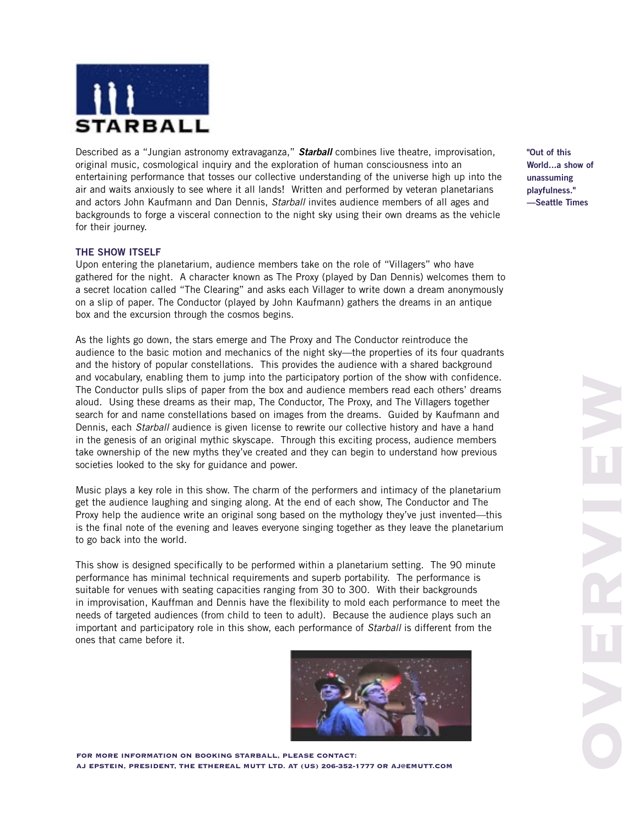

Described as a "Jungian astronomy extravaganza," **Starball** combines live theatre, improvisation, original music, cosmological inquiry and the exploration of human consciousness into an entertaining performance that tosses our collective understanding of the universe high up into the air and waits anxiously to see where it all lands! Written and performed by veteran planetarians and actors John Kaufmann and Dan Dennis, Starball invites audience members of all ages and backgrounds to forge a visceral connection to the night sky using their own dreams as the vehicle for their journey.

# **THE SHOW ITSELF**

Upon entering the planetarium, audience members take on the role of "Villagers" who have gathered for the night. A character known as The Proxy (played by Dan Dennis) welcomes them to a secret location called "The Clearing" and asks each Villager to write down a dream anonymously on a slip of paper. The Conductor (played by John Kaufmann) gathers the dreams in an antique box and the excursion through the cosmos begins.

As the lights go down, the stars emerge and The Proxy and The Conductor reintroduce the audience to the basic motion and mechanics of the night sky—the properties of its four quadrants and the history of popular constellations. This provides the audience with a shared background and vocabulary, enabling them to jump into the participatory portion of the show with confidence. The Conductor pulls slips of paper from the box and audience members read each others' dreams aloud. Using these dreams as their map, The Conductor, The Proxy, and The Villagers together search for and name constellations based on images from the dreams. Guided by Kaufmann and Dennis, each *Starball* audience is given license to rewrite our collective history and have a hand in the genesis of an original mythic skyscape. Through this exciting process, audience members take ownership of the new myths they've created and they can begin to understand how previous societies looked to the sky for guidance and power.

Music plays a key role in this show. The charm of the performers and intimacy of the planetarium get the audience laughing and singing along. At the end of each show, The Conductor and The Proxy help the audience write an original song based on the mythology they've just invented—this is the final note of the evening and leaves everyone singing together as they leave the planetarium to go back into the world.

This show is designed specifically to be performed within a planetarium setting. The 90 minute performance has minimal technical requirements and superb portability. The performance is suitable for venues with seating capacities ranging from 30 to 300. With their backgrounds in improvisation, Kauffman and Dennis have the flexibility to mold each performance to meet the needs of targeted audiences (from child to teen to adult). Because the audience plays such an important and participatory role in this show, each performance of Starball is different from the ones that came before it.



FOR MORE INFORMATION ON BOOKING STARBALL, PLEASE CONTACT: AJ EPSTEIN, PRESIDENT, THE ETHEREAL MUTT LTD. AT (US) 206-352-1777 OR AJ@EMUTT.COM **"Out of this World...a show of unassuming playfulness." —Seattle Times**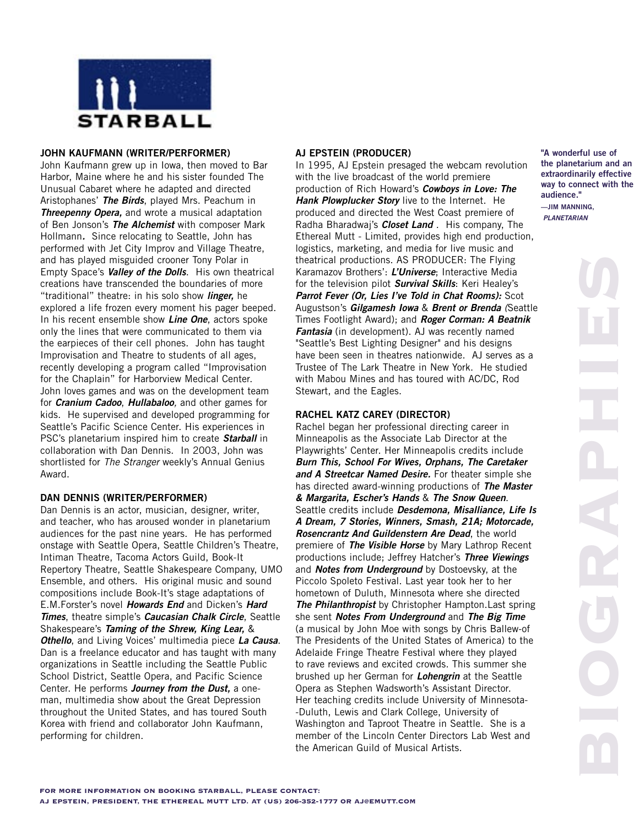

## **JOHN KAUFMANN (WRITER/PERFORMER)**

John Kaufmann grew up in Iowa, then moved to Bar Harbor, Maine where he and his sister founded The Unusual Cabaret where he adapted and directed Aristophanes' **The Birds**, played Mrs. Peachum in **Threepenny Opera,** and wrote a musical adaptation of Ben Jonson's **The Alchemist** with composer Mark Hollmann**.** Since relocating to Seattle, John has performed with Jet City Improv and Village Theatre, and has played misguided crooner Tony Polar in Empty Space's **Valley of the Dolls**. His own theatrical creations have transcended the boundaries of more "traditional" theatre: in his solo show **linger,** he explored a life frozen every moment his pager beeped. In his recent ensemble show **Line One**, actors spoke only the lines that were communicated to them via the earpieces of their cell phones. John has taught Improvisation and Theatre to students of all ages, recently developing a program called "Improvisation for the Chaplain" for Harborview Medical Center. John loves games and was on the development team for **Cranium Cadoo**, **Hullabaloo**, and other games for kids. He supervised and developed programming for Seattle's Pacific Science Center. His experiences in PSC's planetarium inspired him to create **Starball** in collaboration with Dan Dennis. In 2003, John was shortlisted for The Stranger weekly's Annual Genius Award.

### **DAN DENNIS (WRITER/PERFORMER)**

Dan Dennis is an actor, musician, designer, writer, and teacher, who has aroused wonder in planetarium audiences for the past nine years. He has performed onstage with Seattle Opera, Seattle Children's Theatre, Intiman Theatre, Tacoma Actors Guild, Book-It Repertory Theatre, Seattle Shakespeare Company, UMO Ensemble, and others. His original music and sound compositions include Book-It's stage adaptations of E.M.Forster's novel **Howards End** and Dicken's **Hard Times**, theatre simple's **Caucasian Chalk Circle**, Seattle Shakespeare's **Taming of the Shrew, King Lear,** & **Othello**, and Living Voices' multimedia piece **La Causa**. Dan is a freelance educator and has taught with many organizations in Seattle including the Seattle Public School District, Seattle Opera, and Pacific Science Center. He performs **Journey from the Dust,** a oneman, multimedia show about the Great Depression throughout the United States, and has toured South Korea with friend and collaborator John Kaufmann, performing for children.

## **AJ EPSTEIN (PRODUCER)**

In 1995, AJ Epstein presaged the webcam revolution with the live broadcast of the world premiere production of Rich Howard's **Cowboys in Love: The Hank Plowplucker Story** live to the Internet. He produced and directed the West Coast premiere of Radha Bharadwaj's **Closet Land** . His company, The Ethereal Mutt - Limited, provides high end production, logistics, marketing, and media for live music and theatrical productions. AS PRODUCER: The Flying Karamazov Brothers': **L'Universe**; Interactive Media for the television pilot **Survival Skills**: Keri Healey's **Parrot Fever (Or, Lies I've Told in Chat Rooms):** Scot Augustson's **Gilgamesh Iowa** & **Brent or Brenda** (Seattle Times Footlight Award); and **Roger Corman: A Beatnik Fantasia** (in development). AJ was recently named "Seattle's Best Lighting Designer" and his designs have been seen in theatres nationwide. AJ serves as a Trustee of The Lark Theatre in New York. He studied with Mabou Mines and has toured with AC/DC, Rod Stewart, and the Eagles.

# **RACHEL KATZ CAREY (DIRECTOR)**

Rachel began her professional directing career in Minneapolis as the Associate Lab Director at the Playwrights' Center. Her Minneapolis credits include **Burn This, School For Wives, Orphans, The Caretaker and A Streetcar Named Desire.** For theater simple she has directed award-winning productions of **The Master & Margarita, Escher's Hands** & **The Snow Queen**. Seattle credits include **Desdemona, Misalliance, Life Is A Dream, 7 Stories, Winners, Smash, 21A; Motorcade, Rosencrantz And Guildenstern Are Dead**, the world premiere of **The Visible Horse** by Mary Lathrop Recent productions include; Jeffrey Hatcher's **Three Viewings** and **Notes from Underground** by Dostoevsky, at the Piccolo Spoleto Festival. Last year took her to her hometown of Duluth, Minnesota where she directed **The Philanthropist** by Christopher Hampton.Last spring she sent **Notes From Underground** and **The Big Time** (a musical by John Moe with songs by Chris Ballew-of The Presidents of the United States of America) to the Adelaide Fringe Theatre Festival where they played to rave reviews and excited crowds. This summer she brushed up her German for **Lohengrin** at the Seattle Opera as Stephen Wadsworth's Assistant Director. Her teaching credits include University of Minnesota- -Duluth, Lewis and Clark College, University of Washington and Taproot Theatre in Seattle. She is a member of the Lincoln Center Directors Lab West and the American Guild of Musical Artists.

**"A wonderful use of the planetarium and an extraordinarily effective way to connect with the audience." —JIM MANNING, PLANETARIAN**

BIOGRAPHIES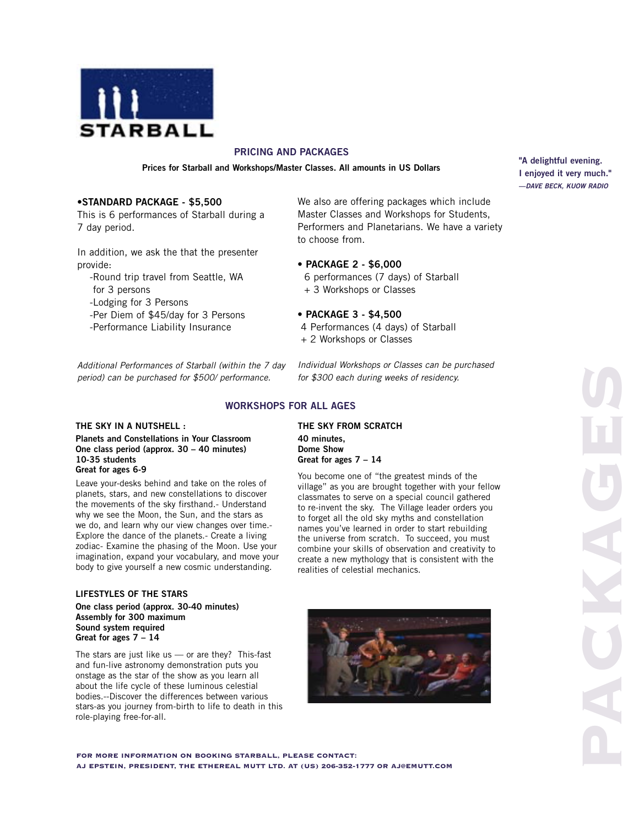

# **PRICING AND PACKAGES**

**Prices for Starball and Workshops/Master Classes. All amounts in US Dollars**

## •**STANDARD PACKAGE - \$5,500**

This is 6 performances of Starball during a 7 day period.

In addition, we ask the that the presenter provide:

- Round trip travel from Seattle, WA for 3 persons

-Lodging for 3 Persons

- -Per Diem of \$45/day for 3 Persons
- -Performance Liability Insurance

Additional Performances of Starball (within the 7 day period) can be purchased for \$500/ performance.

 6 performances (7 days) of Starball + 3 Workshops or Classes

### • **PACKAGE 3 - \$4,500**

• **PACKAGE 2 - \$6,000**

to choose from.

- 4 Performances (4 days) of Starball
- + 2 Workshops or Classes

Individual Workshops or Classes can be purchased for \$300 each during weeks of residency.

We also are offering packages which include Master Classes and Workshops for Students, Performers and Planetarians. We have a variety

### **WORKSHOPS FOR ALL AGES**

#### **THE SKY IN A NUTSHELL :**

**Planets and Constellations in Your Classroom One class period (approx. 30 – 40 minutes) 10-35 students Great for ages 6-9**

Leave your-desks behind and take on the roles of planets, stars, and new constellations to discover the movements of the sky firsthand.- Understand why we see the Moon, the Sun, and the stars as we do, and learn why our view changes over time.- Explore the dance of the planets.- Create a living zodiac- Examine the phasing of the Moon. Use your imagination, expand your vocabulary, and move your body to give yourself a new cosmic understanding.

#### **LIFESTYLES OF THE STARS**

**One class period (approx. 30-40 minutes) Assembly for 300 maximum Sound system required Great for ages 7 – 14**

The stars are just like us  $-$  or are they? This-fast and fun-live astronomy demonstration puts you onstage as the star of the show as you learn all about the life cycle of these luminous celestial bodies.--Discover the differences between various stars-as you journey from-birth to life to death in this role-playing free-for-all.

**THE SKY FROM SCRATCH 40 minutes, Dome Show Great for ages 7 – 14**

You become one of "the greatest minds of the village" as you are brought together with your fellow classmates to serve on a special council gathered to re-invent the sky. The Village leader orders you to forget all the old sky myths and constellation names you've learned in order to start rebuilding the universe from scratch. To succeed, you must combine your skills of observation and creativity to create a new mythology that is consistent with the realities of celestial mechanics.



**"A delightful evening. I enjoyed it very much." —DAVE BECK, KUOW RADIO**